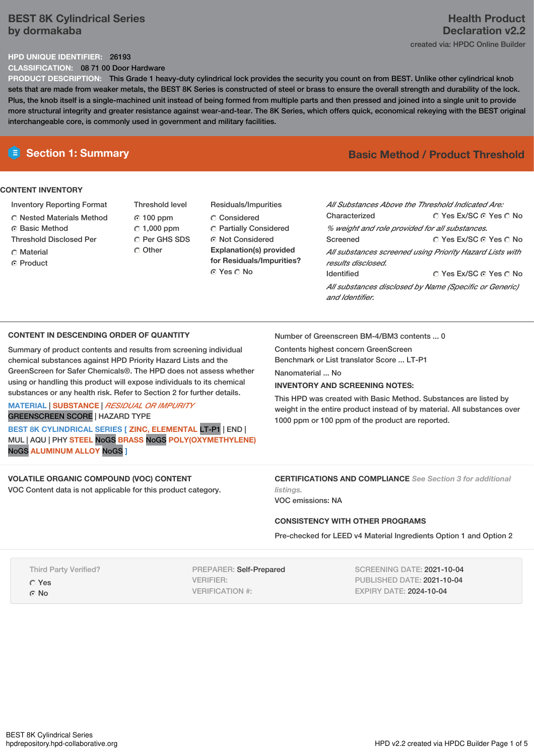# **BEST 8K Cylindrical Series by dormakaba**

# **Health Product Declaration v2.2** created via: HPDC Online Builder

# **HPD UNIQUE IDENTIFIER:** 26193

**CLASSIFICATION:** 08 71 00 Door Hardware

**PRODUCT DESCRIPTION:** This Grade 1 heavy-duty cylindrical lock provides the security you count on from BEST. Unlike other cylindrical knob sets that are made from weaker metals, the BEST 8K Series is constructed of steel or brass to ensure the overall strength and durability of the lock. Plus, the knob itself is a single-machined unit instead of being formed from multiple parts and then pressed and joined into a single unit to provide more structural integrity and greater resistance against wear-and-tear. The 8K Series, which offers quick, economical rekeying with the BEST original interchangeable core, is commonly used in government and military facilities.

# **CONTENT INVENTORY**

- Inventory Reporting Format
- Nested Materials Method
- **G** Basic Method
- Threshold Disclosed Per
- C Material
- Product
- Threshold level 100 ppm  $C$  1,000 ppm C Per GHS SDS O Other
- Residuals/Impurities Considered Partially Considered Not Considered **Explanation(s) provided for Residuals/Impurities?** © Yes ∩ No

# **E** Section 1: Summary **Basic Basic** Method **/** Product Threshold

| All Substances Above the Threshold Indicated Are:        |                        |  |  |  |  |
|----------------------------------------------------------|------------------------|--|--|--|--|
|                                                          |                        |  |  |  |  |
| Characterized                                            | ∩ Yes Ex/SC ∩ Yes ∩ No |  |  |  |  |
| % weight and role provided for all substances.           |                        |  |  |  |  |
| Screened                                                 | ∩ Yes Ex/SC ∩ Yes ∩ No |  |  |  |  |
| All substances screened using Priority Hazard Lists with |                        |  |  |  |  |
| results disclosed.                                       |                        |  |  |  |  |
| <b>Identified</b>                                        | ∩ Yes Ex/SC ∩ Yes ∩ No |  |  |  |  |
| All substances disclosed by Name (Specific or Generic)   |                        |  |  |  |  |
| and Identifier.                                          |                        |  |  |  |  |

# **CONTENT IN DESCENDING ORDER OF QUANTITY**

Summary of product contents and results from screening individual chemical substances against HPD Priority Hazard Lists and the GreenScreen for Safer Chemicals®. The HPD does not assess whether using or handling this product will expose individuals to its chemical substances or any health risk. Refer to Section 2 for further details.

## **MATERIAL** | **SUBSTANCE** | *RESIDUAL OR IMPURITY* GREENSCREEN SCORE | HAZARD TYPE

**BEST 8K CYLINDRICAL SERIES [ ZINC, ELEMENTAL** LT-P1 | END | MUL | AQU | PHY **STEEL** NoGS **BRASS** NoGS **POLY(OXYMETHYLENE)** NoGS **ALUMINUM ALLOY** NoGS **]**

# **VOLATILE ORGANIC COMPOUND (VOC) CONTENT**

VOC Content data is not applicable for this product category.

Number of Greenscreen BM-4/BM3 contents ... 0

Contents highest concern GreenScreen Benchmark or List translator Score ... LT-P1

Nanomaterial ... No

# **INVENTORY AND SCREENING NOTES:**

This HPD was created with Basic Method. Substances are listed by weight in the entire product instead of by material. All substances over 1000 ppm or 100 ppm of the product are reported.

**CERTIFICATIONS AND COMPLIANCE** *See Section 3 for additional listings.*

VOC emissions: NA

# **CONSISTENCY WITH OTHER PROGRAMS**

Pre-checked for LEED v4 Material Ingredients Option 1 and Option 2

Third Party Verified?

Yes ⊙ No

PREPARER: Self-Prepared VERIFIER: VERIFICATION #:

SCREENING DATE: 2021-10-04 PUBLISHED DATE: 2021-10-04 EXPIRY DATE: 2024-10-04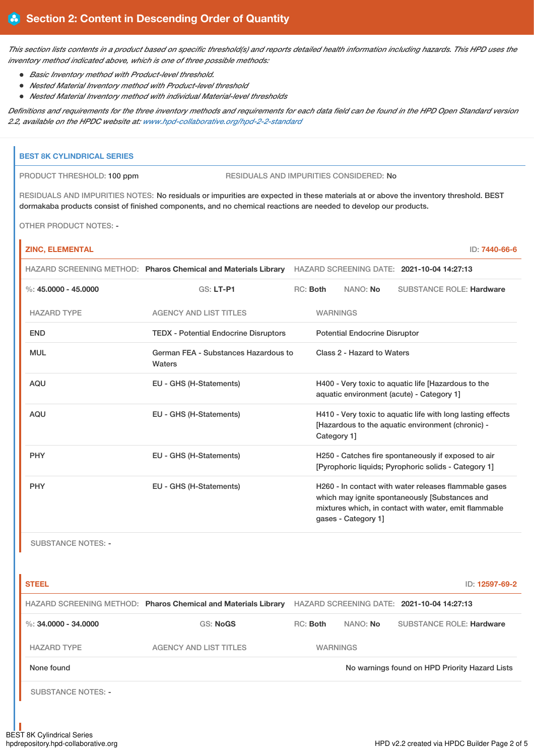This section lists contents in a product based on specific threshold(s) and reports detailed health information including hazards. This HPD uses the *inventory method indicated above, which is one of three possible methods:*

- *Basic Inventory method with Product-level threshold.*
	- *Nested Material Inventory method with Product-level threshold*
- *Nested Material Inventory method with individual Material-level thresholds*

Definitions and requirements for the three inventory methods and requirements for each data field can be found in the HPD Open Standard version *2.2, available on the HPDC website at: [www.hpd-collaborative.org/hpd-2-2-standard](https://www.hpd-collaborative.org/hpd-2-2-standard)*

### **BEST 8K CYLINDRICAL SERIES**

PRODUCT THRESHOLD: 100 ppm RESIDUALS AND IMPURITIES CONSIDERED: No

RESIDUALS AND IMPURITIES NOTES: No residuals or impurities are expected in these materials at or above the inventory threshold. BEST dormakaba products consist of finished components, and no chemical reactions are needed to develop our products.

OTHER PRODUCT NOTES: -

r

| <b>ZINC, ELEMENTAL</b> |                                                                                                           |          |                                                                                                                                 |                     |                                                                                                                                                                  | ID: 7440-66-6 |
|------------------------|-----------------------------------------------------------------------------------------------------------|----------|---------------------------------------------------------------------------------------------------------------------------------|---------------------|------------------------------------------------------------------------------------------------------------------------------------------------------------------|---------------|
|                        | HAZARD SCREENING METHOD: Pharos Chemical and Materials Library HAZARD SCREENING DATE: 2021-10-04 14:27:13 |          |                                                                                                                                 |                     |                                                                                                                                                                  |               |
| %: $45.0000 - 45.0000$ | GS: LT-P1                                                                                                 | RC: Both |                                                                                                                                 | NANO: No            | <b>SUBSTANCE ROLE: Hardware</b>                                                                                                                                  |               |
| <b>HAZARD TYPE</b>     | <b>AGENCY AND LIST TITLES</b>                                                                             |          | <b>WARNINGS</b>                                                                                                                 |                     |                                                                                                                                                                  |               |
| <b>END</b>             | <b>TEDX</b> - Potential Endocrine Disruptors                                                              |          | <b>Potential Endocrine Disruptor</b>                                                                                            |                     |                                                                                                                                                                  |               |
| <b>MUL</b>             | German FEA - Substances Hazardous to<br>Waters                                                            |          | Class 2 - Hazard to Waters                                                                                                      |                     |                                                                                                                                                                  |               |
| <b>AQU</b>             | EU - GHS (H-Statements)                                                                                   |          | H400 - Very toxic to aquatic life [Hazardous to the<br>aquatic environment (acute) - Category 1]                                |                     |                                                                                                                                                                  |               |
| <b>AQU</b>             | EU - GHS (H-Statements)                                                                                   |          | H410 - Very toxic to aquatic life with long lasting effects<br>[Hazardous to the aquatic environment (chronic) -<br>Category 1] |                     |                                                                                                                                                                  |               |
| <b>PHY</b>             | EU - GHS (H-Statements)                                                                                   |          | H250 - Catches fire spontaneously if exposed to air<br>[Pyrophoric liquids: Pyrophoric solids - Category 1]                     |                     |                                                                                                                                                                  |               |
| <b>PHY</b>             | EU - GHS (H-Statements)                                                                                   |          |                                                                                                                                 | gases - Category 1] | H260 - In contact with water releases flammable gases<br>which may ignite spontaneously [Substances and<br>mixtures which, in contact with water, emit flammable |               |

SUBSTANCE NOTES: -

| <b>STEEL</b>              |                                                                |                                            |                 | ID: 12597-69-2                                 |
|---------------------------|----------------------------------------------------------------|--------------------------------------------|-----------------|------------------------------------------------|
|                           | HAZARD SCREENING METHOD: Pharos Chemical and Materials Library | HAZARD SCREENING DATE: 2021-10-04 14:27:13 |                 |                                                |
| %: 34,0000 - 34,0000      | <b>GS: NoGS</b>                                                | $RC:$ Both                                 | NANO: No        | <b>SUBSTANCE ROLE: Hardware</b>                |
| <b>HAZARD TYPE</b>        | <b>AGENCY AND LIST TITLES</b>                                  |                                            | <b>WARNINGS</b> |                                                |
| None found                |                                                                |                                            |                 | No warnings found on HPD Priority Hazard Lists |
| <b>SUBSTANCE NOTES: -</b> |                                                                |                                            |                 |                                                |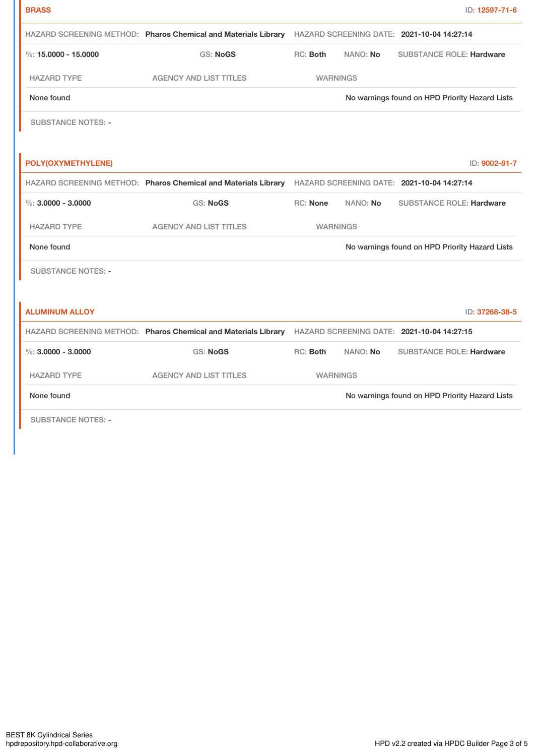| <b>BRASS</b>              |                                                                                                           |                                                                                                           |          | ID: 12597-71-6                                 |
|---------------------------|-----------------------------------------------------------------------------------------------------------|-----------------------------------------------------------------------------------------------------------|----------|------------------------------------------------|
|                           | HAZARD SCREENING METHOD: Pharos Chemical and Materials Library HAZARD SCREENING DATE: 2021-10-04 14:27:14 |                                                                                                           |          |                                                |
| %: $15,0000 - 15,0000$    | <b>GS: NoGS</b>                                                                                           | RC: Both                                                                                                  | NANO: No | <b>SUBSTANCE ROLE: Hardware</b>                |
| <b>HAZARD TYPE</b>        | <b>AGENCY AND LIST TITLES</b>                                                                             | <b>WARNINGS</b>                                                                                           |          |                                                |
| None found                |                                                                                                           | No warnings found on HPD Priority Hazard Lists                                                            |          |                                                |
| <b>SUBSTANCE NOTES: -</b> |                                                                                                           |                                                                                                           |          |                                                |
|                           |                                                                                                           |                                                                                                           |          |                                                |
| POLY(OXYMETHYLENE)        |                                                                                                           |                                                                                                           |          | ID: 9002-81-7                                  |
|                           |                                                                                                           | HAZARD SCREENING METHOD: Pharos Chemical and Materials Library HAZARD SCREENING DATE: 2021-10-04 14:27:14 |          |                                                |
| $\%$ : 3.0000 - 3.0000    | <b>GS: NoGS</b>                                                                                           | RC: None                                                                                                  | NANO: No | <b>SUBSTANCE ROLE: Hardware</b>                |
| <b>HAZARD TYPE</b>        | <b>AGENCY AND LIST TITLES</b>                                                                             | <b>WARNINGS</b>                                                                                           |          |                                                |
| None found                |                                                                                                           |                                                                                                           |          | No warnings found on HPD Priority Hazard Lists |
| <b>SUBSTANCE NOTES: -</b> |                                                                                                           |                                                                                                           |          |                                                |
|                           |                                                                                                           |                                                                                                           |          |                                                |
| <b>ALUMINUM ALLOY</b>     |                                                                                                           |                                                                                                           |          | ID: 37268-38-5                                 |
|                           | HAZARD SCREENING METHOD: Pharos Chemical and Materials Library HAZARD SCREENING DATE: 2021-10-04 14:27:15 |                                                                                                           |          |                                                |
| $\%$ : 3.0000 - 3.0000    | <b>GS: NoGS</b>                                                                                           | RC: Both                                                                                                  | NANO: No | <b>SUBSTANCE ROLE: Hardware</b>                |
| <b>HAZARD TYPE</b>        | <b>AGENCY AND LIST TITLES</b>                                                                             | <b>WARNINGS</b>                                                                                           |          |                                                |
|                           |                                                                                                           |                                                                                                           |          |                                                |
| None found                |                                                                                                           |                                                                                                           |          | No warnings found on HPD Priority Hazard Lists |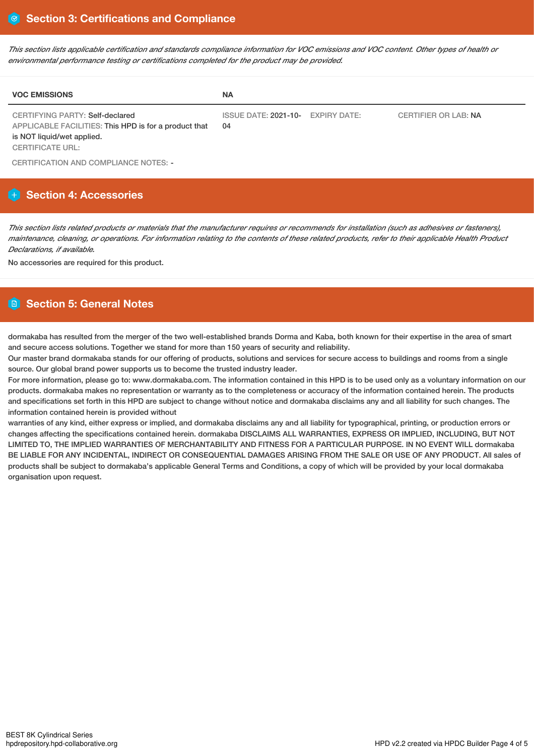This section lists applicable certification and standards compliance information for VOC emissions and VOC content. Other types of health or *environmental performance testing or certifications completed for the product may be provided.*

| <b>VOC EMISSIONS</b>                                                                                                                              | <b>NA</b>                               |                             |
|---------------------------------------------------------------------------------------------------------------------------------------------------|-----------------------------------------|-----------------------------|
| CERTIFYING PARTY: Self-declared<br>APPLICABLE FACILITIES: This HPD is for a product that<br>is NOT liquid/wet applied.<br><b>CERTIFICATE URL:</b> | ISSUE DATE: 2021-10- EXPIRY DATE:<br>04 | <b>CERTIFIER OR LAB: NA</b> |

CERTIFICATION AND COMPLIANCE NOTES: -

# **Section 4: Accessories**

This section lists related products or materials that the manufacturer requires or recommends for installation (such as adhesives or fasteners), maintenance, cleaning, or operations. For information relating to the contents of these related products, refer to their applicable Health Product *Declarations, if available.*

No accessories are required for this product.

# **Section 5: General Notes**

dormakaba has resulted from the merger of the two well-established brands Dorma and Kaba, both known for their expertise in the area of smart and secure access solutions. Together we stand for more than 150 years of security and reliability.

Our master brand dormakaba stands for our offering of products, solutions and services for secure access to buildings and rooms from a single source. Our global brand power supports us to become the trusted industry leader.

For more information, please go to: www.dormakaba.com. The information contained in this HPD is to be used only as a voluntary information on our products. dormakaba makes no representation or warranty as to the completeness or accuracy of the information contained herein. The products and specifications set forth in this HPD are subject to change without notice and dormakaba disclaims any and all liability for such changes. The information contained herein is provided without

warranties of any kind, either express or implied, and dormakaba disclaims any and all liability for typographical, printing, or production errors or changes affecting the specifications contained herein. dormakaba DISCLAIMS ALL WARRANTIES, EXPRESS OR IMPLIED, INCLUDING, BUT NOT LIMITED TO, THE IMPLIED WARRANTIES OF MERCHANTABILITY AND FITNESS FOR A PARTICULAR PURPOSE. IN NO EVENT WILL dormakaba BE LIABLE FOR ANY INCIDENTAL, INDIRECT OR CONSEQUENTIAL DAMAGES ARISING FROM THE SALE OR USE OF ANY PRODUCT. All sales of products shall be subject to dormakaba's applicable General Terms and Conditions, a copy of which will be provided by your local dormakaba organisation upon request.